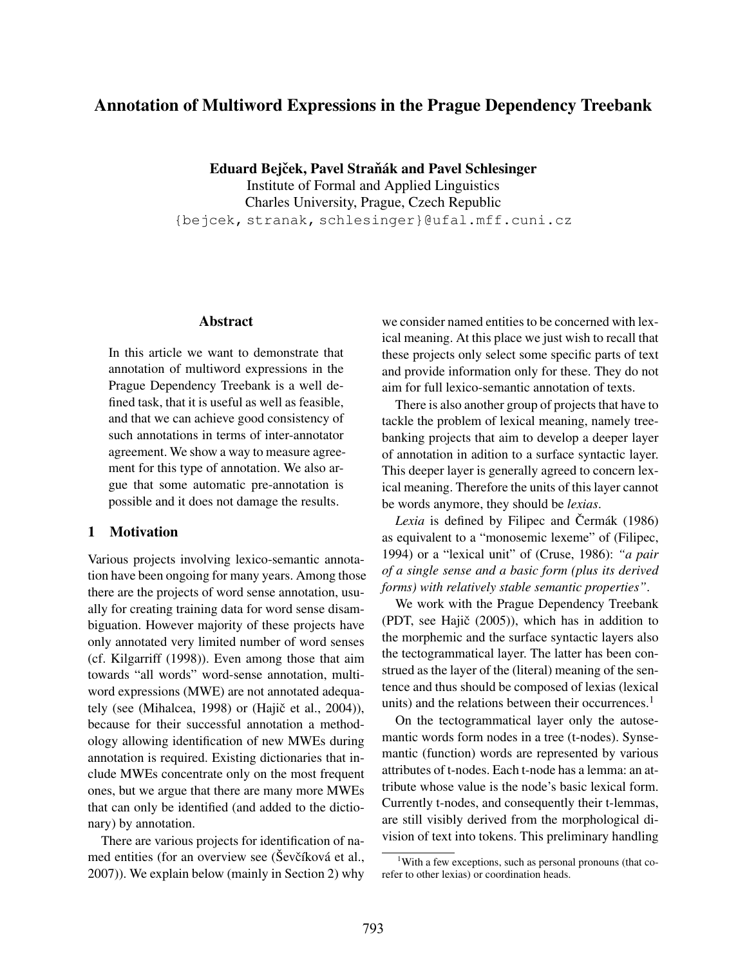# Annotation of Multiword Expressions in the Prague Dependency Treebank

Eduard Bejček, Pavel Straňák and Pavel Schlesinger Institute of Formal and Applied Linguistics Charles University, Prague, Czech Republic {bejcek, stranak, schlesinger}@ufal.mff.cuni.cz

## Abstract

In this article we want to demonstrate that annotation of multiword expressions in the Prague Dependency Treebank is a well defined task, that it is useful as well as feasible, and that we can achieve good consistency of such annotations in terms of inter-annotator agreement. We show a way to measure agreement for this type of annotation. We also argue that some automatic pre-annotation is possible and it does not damage the results.

## 1 Motivation

Various projects involving lexico-semantic annotation have been ongoing for many years. Among those there are the projects of word sense annotation, usually for creating training data for word sense disambiguation. However majority of these projects have only annotated very limited number of word senses (cf. Kilgarriff (1998)). Even among those that aim towards "all words" word-sense annotation, multiword expressions (MWE) are not annotated adequately (see (Mihalcea, 1998) or (Hajič et al., 2004)), because for their successful annotation a methodology allowing identification of new MWEs during annotation is required. Existing dictionaries that include MWEs concentrate only on the most frequent ones, but we argue that there are many more MWEs that can only be identified (and added to the dictionary) by annotation.

There are various projects for identification of named entities (for an overview see (Ševčíková et al., 2007)). We explain below (mainly in Section 2) why we consider named entities to be concerned with lexical meaning. At this place we just wish to recall that these projects only select some specific parts of text and provide information only for these. They do not aim for full lexico-semantic annotation of texts.

There is also another group of projects that have to tackle the problem of lexical meaning, namely treebanking projects that aim to develop a deeper layer of annotation in adition to a surface syntactic layer. This deeper layer is generally agreed to concern lexical meaning. Therefore the units of this layer cannot be words anymore, they should be *lexias*.

*Lexia* is defined by Filipec and Čermák (1986) as equivalent to a "monosemic lexeme" of (Filipec, 1994) or a "lexical unit" of (Cruse, 1986): *"a pair of a single sense and a basic form (plus its derived forms) with relatively stable semantic properties"*.

We work with the Prague Dependency Treebank (PDT, see Hajič  $(2005)$ ), which has in addition to the morphemic and the surface syntactic layers also the tectogrammatical layer. The latter has been construed as the layer of the (literal) meaning of the sentence and thus should be composed of lexias (lexical units) and the relations between their occurrences.<sup>1</sup>

On the tectogrammatical layer only the autosemantic words form nodes in a tree (t-nodes). Synsemantic (function) words are represented by various attributes of t-nodes. Each t-node has a lemma: an attribute whose value is the node's basic lexical form. Currently t-nodes, and consequently their t-lemmas, are still visibly derived from the morphological division of text into tokens. This preliminary handling

<sup>&</sup>lt;sup>1</sup>With a few exceptions, such as personal pronouns (that corefer to other lexias) or coordination heads.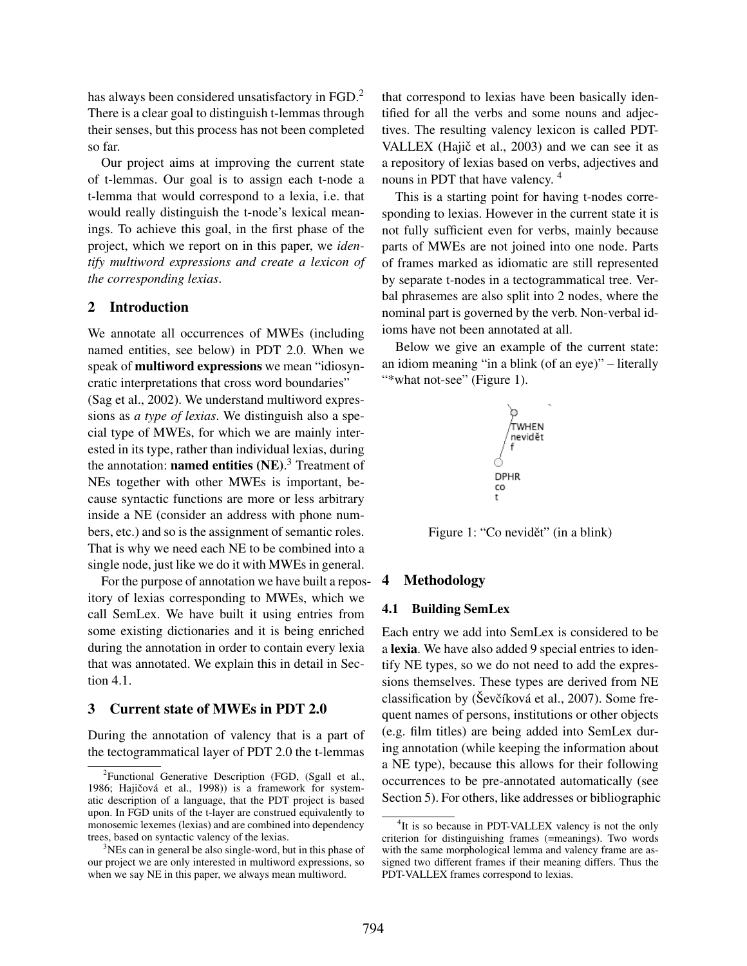has always been considered unsatisfactory in FGD.<sup>2</sup> There is a clear goal to distinguish t-lemmas through their senses, but this process has not been completed so far.

Our project aims at improving the current state of t-lemmas. Our goal is to assign each t-node a t-lemma that would correspond to a lexia, i.e. that would really distinguish the t-node's lexical meanings. To achieve this goal, in the first phase of the project, which we report on in this paper, we *identify multiword expressions and create a lexicon of the corresponding lexias*.

#### 2 Introduction

We annotate all occurrences of MWEs (including named entities, see below) in PDT 2.0. When we speak of multiword expressions we mean "idiosyncratic interpretations that cross word boundaries" (Sag et al., 2002). We understand multiword expressions as *a type of lexias*. We distinguish also a special type of MWEs, for which we are mainly interested in its type, rather than individual lexias, during the annotation: **named entities** (NE).<sup>3</sup> Treatment of NEs together with other MWEs is important, because syntactic functions are more or less arbitrary inside a NE (consider an address with phone numbers, etc.) and so is the assignment of semantic roles. That is why we need each NE to be combined into a single node, just like we do it with MWEs in general.

For the purpose of annotation we have built a repository of lexias corresponding to MWEs, which we call SemLex. We have built it using entries from some existing dictionaries and it is being enriched during the annotation in order to contain every lexia that was annotated. We explain this in detail in Section 4.1.

#### 3 Current state of MWEs in PDT 2.0

During the annotation of valency that is a part of the tectogrammatical layer of PDT 2.0 the t-lemmas

that correspond to lexias have been basically identified for all the verbs and some nouns and adjectives. The resulting valency lexicon is called PDT-VALLEX (Hajič et al., 2003) and we can see it as a repository of lexias based on verbs, adjectives and nouns in PDT that have valency.<sup>4</sup>

This is a starting point for having t-nodes corresponding to lexias. However in the current state it is not fully sufficient even for verbs, mainly because parts of MWEs are not joined into one node. Parts of frames marked as idiomatic are still represented by separate t-nodes in a tectogrammatical tree. Verbal phrasemes are also split into 2 nodes, where the nominal part is governed by the verb. Non-verbal idioms have not been annotated at all.

Below we give an example of the current state: an idiom meaning "in a blink (of an eye)" – literally "\*what not-see" (Figure 1).



Figure 1: "Co nevidět" (in a blink)

#### 4 Methodology

#### 4.1 Building SemLex

Each entry we add into SemLex is considered to be a lexia. We have also added 9 special entries to identify NE types, so we do not need to add the expressions themselves. These types are derived from NE classification by (Ševčíková et al., 2007). Some frequent names of persons, institutions or other objects (e.g. film titles) are being added into SemLex during annotation (while keeping the information about a NE type), because this allows for their following occurrences to be pre-annotated automatically (see Section 5). For others, like addresses or bibliographic

<sup>&</sup>lt;sup>2</sup> Functional Generative Description (FGD, (Sgall et al., 1986; Hajičová et al., 1998)) is a framework for systematic description of a language, that the PDT project is based upon. In FGD units of the t-layer are construed equivalently to monosemic lexemes (lexias) and are combined into dependency trees, based on syntactic valency of the lexias.

<sup>&</sup>lt;sup>3</sup>NEs can in general be also single-word, but in this phase of our project we are only interested in multiword expressions, so when we say NE in this paper, we always mean multiword.

<sup>&</sup>lt;sup>4</sup>It is so because in PDT-VALLEX valency is not the only criterion for distinguishing frames (=meanings). Two words with the same morphological lemma and valency frame are assigned two different frames if their meaning differs. Thus the PDT-VALLEX frames correspond to lexias.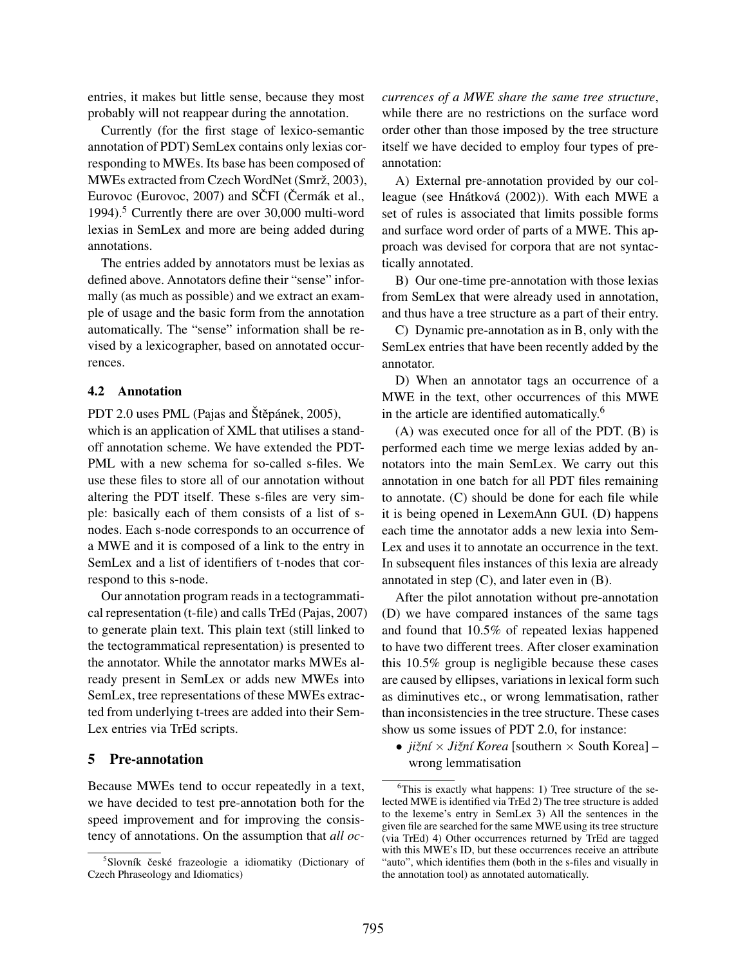entries, it makes but little sense, because they most probably will not reappear during the annotation.

Currently (for the first stage of lexico-semantic annotation of PDT) SemLex contains only lexias corresponding to MWEs. Its base has been composed of MWEs extracted from Czech WordNet (Smrž, 2003), Eurovoc (Eurovoc, 2007) and SCFI (Cermák et al., 1994).<sup>5</sup> Currently there are over 30,000 multi-word lexias in SemLex and more are being added during annotations.

The entries added by annotators must be lexias as defined above. Annotators define their "sense" informally (as much as possible) and we extract an example of usage and the basic form from the annotation automatically. The "sense" information shall be revised by a lexicographer, based on annotated occurrences.

#### 4.2 Annotation

PDT 2.0 uses PML (Pajas and Štěpánek,  $2005$ ),

which is an application of XML that utilises a standoff annotation scheme. We have extended the PDT-PML with a new schema for so-called s-files. We use these files to store all of our annotation without altering the PDT itself. These s-files are very simple: basically each of them consists of a list of snodes. Each s-node corresponds to an occurrence of a MWE and it is composed of a link to the entry in SemLex and a list of identifiers of t-nodes that correspond to this s-node.

Our annotation program reads in a tectogrammatical representation (t-file) and calls TrEd (Pajas, 2007) to generate plain text. This plain text (still linked to the tectogrammatical representation) is presented to the annotator. While the annotator marks MWEs already present in SemLex or adds new MWEs into SemLex, tree representations of these MWEs extracted from underlying t-trees are added into their Sem-Lex entries via TrEd scripts.

#### 5 Pre-annotation

Because MWEs tend to occur repeatedly in a text, we have decided to test pre-annotation both for the speed improvement and for improving the consistency of annotations. On the assumption that *all oc-* *currences of a MWE share the same tree structure*, while there are no restrictions on the surface word order other than those imposed by the tree structure itself we have decided to employ four types of preannotation:

A) External pre-annotation provided by our colleague (see Hnátková (2002)). With each MWE a set of rules is associated that limits possible forms and surface word order of parts of a MWE. This approach was devised for corpora that are not syntactically annotated.

B) Our one-time pre-annotation with those lexias from SemLex that were already used in annotation, and thus have a tree structure as a part of their entry.

C) Dynamic pre-annotation as in B, only with the SemLex entries that have been recently added by the annotator.

D) When an annotator tags an occurrence of a MWE in the text, other occurrences of this MWE in the article are identified automatically.6

(A) was executed once for all of the PDT. (B) is performed each time we merge lexias added by annotators into the main SemLex. We carry out this annotation in one batch for all PDT files remaining to annotate. (C) should be done for each file while it is being opened in LexemAnn GUI. (D) happens each time the annotator adds a new lexia into Sem-Lex and uses it to annotate an occurrence in the text. In subsequent files instances of this lexia are already annotated in step  $(C)$ , and later even in  $(B)$ .

After the pilot annotation without pre-annotation (D) we have compared instances of the same tags and found that 10.5% of repeated lexias happened to have two different trees. After closer examination this 10.5% group is negligible because these cases are caused by ellipses, variations in lexical form such as diminutives etc., or wrong lemmatisation, rather than inconsistencies in the tree structure. These cases show us some issues of PDT 2.0, for instance:

• *jižní* × *Jižní Korea* [southern × South Korea] – wrong lemmatisation

<sup>&</sup>lt;sup>5</sup>Slovník české frazeologie a idiomatiky (Dictionary of Czech Phraseology and Idiomatics)

<sup>&</sup>lt;sup>6</sup>This is exactly what happens: 1) Tree structure of the selected MWE is identified via TrEd 2) The tree structure is added to the lexeme's entry in SemLex 3) All the sentences in the given file are searched for the same MWE using its tree structure (via TrEd) 4) Other occurrences returned by TrEd are tagged with this MWE's ID, but these occurrences receive an attribute "auto", which identifies them (both in the s-files and visually in the annotation tool) as annotated automatically.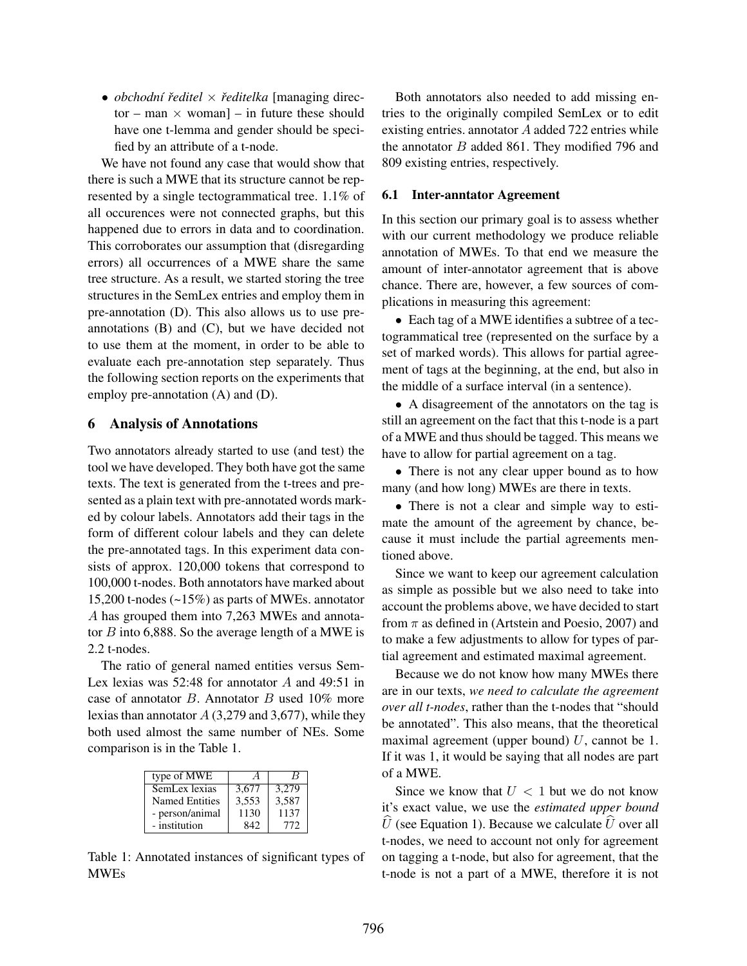• *obchodní ˇreditel* × *ˇreditelka* [managing director – man  $\times$  woman] – in future these should have one t-lemma and gender should be specified by an attribute of a t-node.

We have not found any case that would show that there is such a MWE that its structure cannot be represented by a single tectogrammatical tree. 1.1% of all occurences were not connected graphs, but this happened due to errors in data and to coordination. This corroborates our assumption that (disregarding errors) all occurrences of a MWE share the same tree structure. As a result, we started storing the tree structures in the SemLex entries and employ them in pre-annotation (D). This also allows us to use preannotations (B) and (C), but we have decided not to use them at the moment, in order to be able to evaluate each pre-annotation step separately. Thus the following section reports on the experiments that employ pre-annotation (A) and (D).

#### 6 Analysis of Annotations

Two annotators already started to use (and test) the tool we have developed. They both have got the same texts. The text is generated from the t-trees and presented as a plain text with pre-annotated words marked by colour labels. Annotators add their tags in the form of different colour labels and they can delete the pre-annotated tags. In this experiment data consists of approx. 120,000 tokens that correspond to 100,000 t-nodes. Both annotators have marked about 15,200 t-nodes (~15%) as parts of MWEs. annotator A has grouped them into 7,263 MWEs and annotator  $B$  into 6,888. So the average length of a MWE is 2.2 t-nodes.

The ratio of general named entities versus Sem-Lex lexias was  $52:48$  for annotator A and  $49:51$  in case of annotator B. Annotator B used 10% more lexias than annotator  $A(3,279 \text{ and } 3,677)$ , while they both used almost the same number of NEs. Some comparison is in the Table 1.

| type of MWE           | $\overline{A}$ | В     |
|-----------------------|----------------|-------|
| SemLex lexias         | 3.677          | 3.279 |
| <b>Named Entities</b> | 3,553          | 3,587 |
| - person/animal       | 1130           | 1137  |
| - institution         | 842            | 772   |

Table 1: Annotated instances of significant types of MWEs

Both annotators also needed to add missing entries to the originally compiled SemLex or to edit existing entries. annotator A added 722 entries while the annotator  $B$  added 861. They modified 796 and 809 existing entries, respectively.

#### 6.1 Inter-anntator Agreement

In this section our primary goal is to assess whether with our current methodology we produce reliable annotation of MWEs. To that end we measure the amount of inter-annotator agreement that is above chance. There are, however, a few sources of complications in measuring this agreement:

• Each tag of a MWE identifies a subtree of a tectogrammatical tree (represented on the surface by a set of marked words). This allows for partial agreement of tags at the beginning, at the end, but also in the middle of a surface interval (in a sentence).

• A disagreement of the annotators on the tag is still an agreement on the fact that this t-node is a part of a MWE and thus should be tagged. This means we have to allow for partial agreement on a tag.

• There is not any clear upper bound as to how many (and how long) MWEs are there in texts.

• There is not a clear and simple way to estimate the amount of the agreement by chance, because it must include the partial agreements mentioned above.

Since we want to keep our agreement calculation as simple as possible but we also need to take into account the problems above, we have decided to start from  $\pi$  as defined in (Artstein and Poesio, 2007) and to make a few adjustments to allow for types of partial agreement and estimated maximal agreement.

Because we do not know how many MWEs there are in our texts, *we need to calculate the agreement over all t-nodes*, rather than the t-nodes that "should be annotated". This also means, that the theoretical maximal agreement (upper bound)  $U$ , cannot be 1. If it was 1, it would be saying that all nodes are part of a MWE.

Since we know that  $U < 1$  but we do not know it's exact value, we use the *estimated upper bound*  $\hat{U}$  (see Equation 1). Because we calculate  $\hat{U}$  over all t-nodes, we need to account not only for agreement on tagging a t-node, but also for agreement, that the t-node is not a part of a MWE, therefore it is not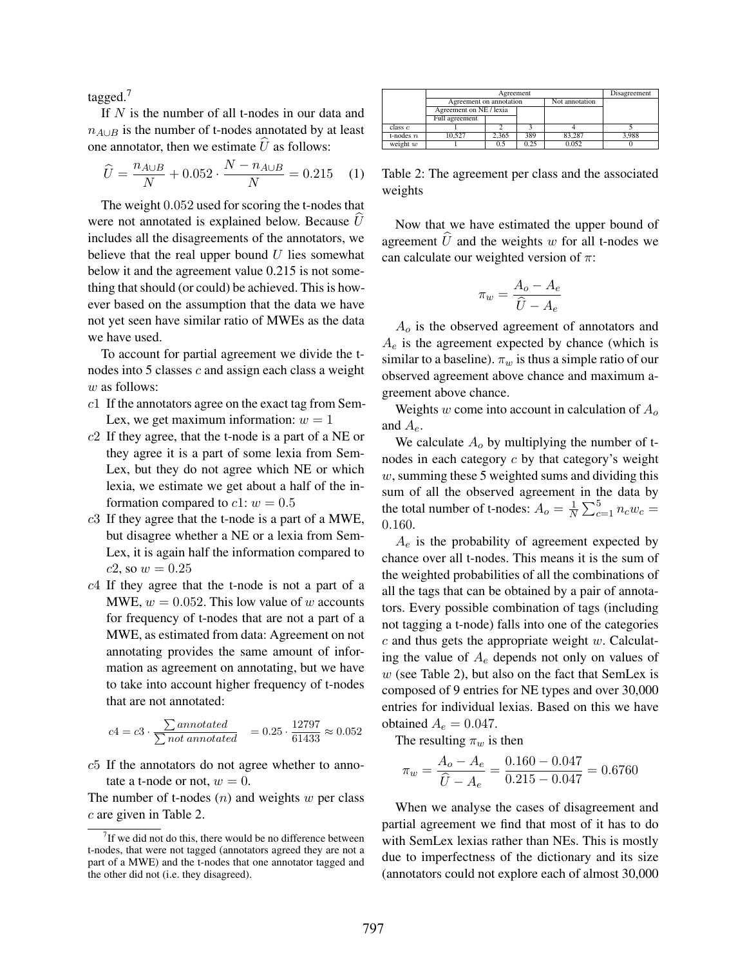tagged.<sup>7</sup>

If  $N$  is the number of all t-nodes in our data and  $n_{A\cup B}$  is the number of t-nodes annotated by at least one annotator, then we estimate  $\hat{U}$  as follows:

$$
\hat{U} = \frac{n_{A \cup B}}{N} + 0.052 \cdot \frac{N - n_{A \cup B}}{N} = 0.215 \quad (1)
$$

The weight 0.052 used for scoring the t-nodes that were not annotated is explained below. Because  $\hat{U}$ includes all the disagreements of the annotators, we believe that the real upper bound  $U$  lies somewhat below it and the agreement value 0.215 is not something that should (or could) be achieved. This is however based on the assumption that the data we have not yet seen have similar ratio of MWEs as the data we have used.

To account for partial agreement we divide the tnodes into  $5$  classes  $c$  and assign each class a weight w as follows:

- c1 If the annotators agree on the exact tag from Sem-Lex, we get maximum information:  $w = 1$
- $c2$  If they agree, that the t-node is a part of a NE or they agree it is a part of some lexia from Sem-Lex, but they do not agree which NE or which lexia, we estimate we get about a half of the information compared to  $c1$ :  $w = 0.5$
- c3 If they agree that the t-node is a part of a MWE, but disagree whether a NE or a lexia from Sem-Lex, it is again half the information compared to  $c2$ , so  $w = 0.25$
- $c4$  If they agree that the t-node is not a part of a MWE,  $w = 0.052$ . This low value of w accounts for frequency of t-nodes that are not a part of a MWE, as estimated from data: Agreement on not annotating provides the same amount of information as agreement on annotating, but we have to take into account higher frequency of t-nodes that are not annotated:

$$
c4 = c3 \cdot \frac{\sum annotated}{\sum not annotated} = 0.25 \cdot \frac{12797}{61433} \approx 0.052
$$

c5 If the annotators do not agree whether to annotate a t-node or not,  $w = 0$ .

The number of t-nodes  $(n)$  and weights w per class c are given in Table 2.

|             | Agreement               |       |      |                | Disagreement |
|-------------|-------------------------|-------|------|----------------|--------------|
|             | Agreement on annotation |       |      | Not annotation |              |
|             | Agreement on NE / lexia |       |      |                |              |
|             | Full agreement          |       |      |                |              |
| class c     |                         |       |      |                |              |
| t-nodes $n$ | 10.527                  | 2.365 | 389  | 83,287         | 3.988        |
| weight $w$  |                         | 0.5   | 0.25 | 0.052          |              |

Table 2: The agreement per class and the associated weights

Now that we have estimated the upper bound of agreement  $\hat{U}$  and the weights w for all t-nodes we can calculate our weighted version of  $\pi$ :

$$
\pi_w = \frac{A_o - A_e}{\hat{U} - A_e}
$$

A*<sup>o</sup>* is the observed agreement of annotators and A*<sup>e</sup>* is the agreement expected by chance (which is similar to a baseline).  $\pi_w$  is thus a simple ratio of our observed agreement above chance and maximum agreement above chance.

Weights w come into account in calculation of A*<sup>o</sup>* and A*e*.

We calculate  $A<sub>o</sub>$  by multiplying the number of tnodes in each category  $c$  by that category's weight  $w$ , summing these 5 weighted sums and dividing this sum of all the observed agreement in the data by the total number of t-nodes:  $A_o = \frac{1}{N} \sum_{c=1}^{5} n_c w_c =$ 0.160.

A*<sup>e</sup>* is the probability of agreement expected by chance over all t-nodes. This means it is the sum of the weighted probabilities of all the combinations of all the tags that can be obtained by a pair of annotators. Every possible combination of tags (including not tagging a t-node) falls into one of the categories  $c$  and thus gets the appropriate weight  $w$ . Calculating the value of A*<sup>e</sup>* depends not only on values of  $w$  (see Table 2), but also on the fact that SemLex is composed of 9 entries for NE types and over 30,000 entries for individual lexias. Based on this we have obtained  $A_e = 0.047$ .

The resulting  $\pi_w$  is then

$$
\pi_w = \frac{A_o - A_e}{\hat{U} - A_e} = \frac{0.160 - 0.047}{0.215 - 0.047} = 0.6760
$$

When we analyse the cases of disagreement and partial agreement we find that most of it has to do with SemLex lexias rather than NEs. This is mostly due to imperfectness of the dictionary and its size (annotators could not explore each of almost 30,000

 $7$  If we did not do this, there would be no difference between t-nodes, that were not tagged (annotators agreed they are not a part of a MWE) and the t-nodes that one annotator tagged and the other did not (i.e. they disagreed).